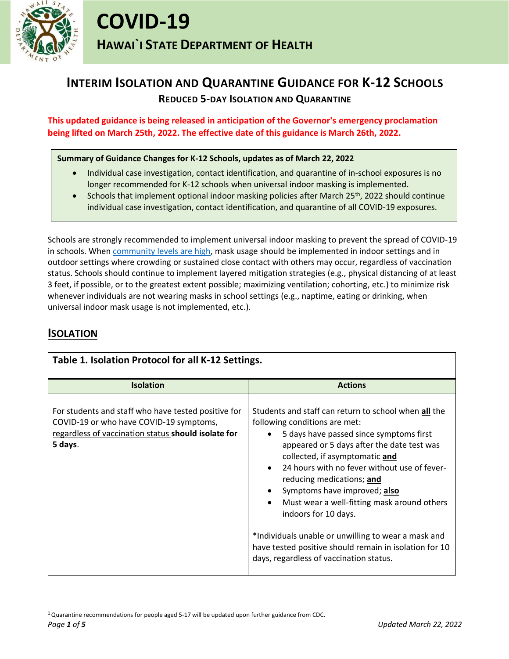

## **INTERIM ISOLATION AND QUARANTINE GUIDANCE FOR K-12 SCHOOLS REDUCED 5-DAY ISOLATION AND QUARANTINE**

**This updated guidance is being released in anticipation of the Governor's emergency proclamation being lifted on March 25th, 2022. The effective date of this guidance is March 26th, 2022.**

### **Summary of Guidance Changes for K-12 Schools, updates as of March 22, 2022**

- Individual case investigation, contact identification, and quarantine of in-school exposures is no longer recommended for K-12 schools when universal indoor masking is implemented.
- Schools that implement optional indoor masking policies after March 25<sup>th</sup>, 2022 should continue individual case investigation, contact identification, and quarantine of all COVID-19 exposures.

Schools are strongly recommended to implement universal indoor masking to prevent the spread of COVID-19 in schools. When [community levels are](https://www.cdc.gov/coronavirus/2019-ncov/your-health/covid-by-county.html?CDC_AA_refVal=https%3A%2F%2Fwww.cdc.gov%2Fcoronavirus%2F2019-ncov%2Fscience%2Fcommunity-levels-county-map.html) high, mask usage should be implemented in indoor settings and in outdoor settings where crowding or sustained close contact with others may occur, regardless of vaccination status. Schools should continue to implement layered mitigation strategies (e.g., physical distancing of at least 3 feet, if possible, or to the greatest extent possible; maximizing ventilation; cohorting, etc.) to minimize risk whenever individuals are not wearing masks in school settings (e.g., naptime, eating or drinking, when universal indoor mask usage is not implemented, etc.).

### **ISOLATION**

| Table 1. Isolation Protocol for all K-12 Settings.                                                                                                               |                                                                                                                                                                                                                                                                                                                                                                                                                                                                                                                                                                                                                      |  |
|------------------------------------------------------------------------------------------------------------------------------------------------------------------|----------------------------------------------------------------------------------------------------------------------------------------------------------------------------------------------------------------------------------------------------------------------------------------------------------------------------------------------------------------------------------------------------------------------------------------------------------------------------------------------------------------------------------------------------------------------------------------------------------------------|--|
| <b>Isolation</b>                                                                                                                                                 | <b>Actions</b>                                                                                                                                                                                                                                                                                                                                                                                                                                                                                                                                                                                                       |  |
| For students and staff who have tested positive for<br>COVID-19 or who have COVID-19 symptoms,<br>regardless of vaccination status should isolate for<br>5 days. | Students and staff can return to school when all the<br>following conditions are met:<br>5 days have passed since symptoms first<br>$\bullet$<br>appeared or 5 days after the date test was<br>collected, if asymptomatic and<br>24 hours with no fever without use of fever-<br>$\bullet$<br>reducing medications; and<br>Symptoms have improved; also<br>$\bullet$<br>Must wear a well-fitting mask around others<br>$\bullet$<br>indoors for 10 days.<br>*Individuals unable or unwilling to wear a mask and<br>have tested positive should remain in isolation for 10<br>days, regardless of vaccination status. |  |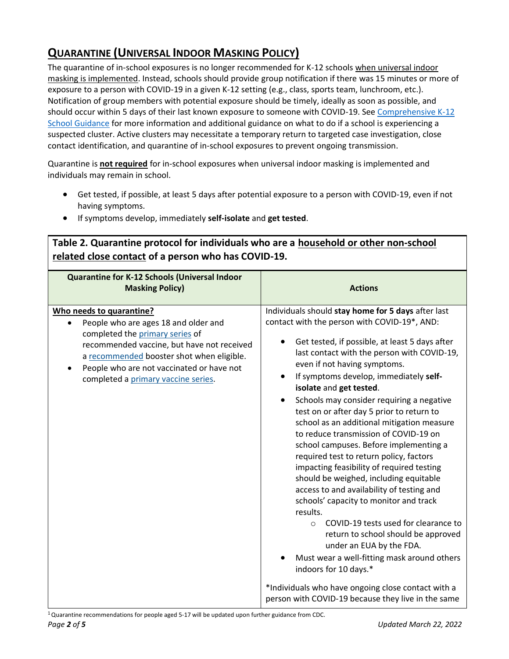# **QUARANTINE (UNIVERSAL INDOOR MASKING POLICY)**

The quarantine of in-school exposures is no longer recommended for K-12 schools when universal indoor masking is implemented. Instead, schools should provide group notification if there was 15 minutes or more of exposure to a person with COVID-19 in a given K-12 setting (e.g., class, sports team, lunchroom, etc.). Notification of group members with potential exposure should be timely, ideally as soon as possible, and should occur within 5 days of their last known exposure to someone with COVID-19. See [Comprehensive K-12](https://health.hawaii.gov/coronavirusdisease2019/files/2021/08/COVID-19-Guidance-for-Schools.pdf) [School Guidance](https://health.hawaii.gov/coronavirusdisease2019/files/2021/08/COVID-19-Guidance-for-Schools.pdf) for more information and additional guidance on what to do if a school is experiencing a suspected cluster. Active clusters may necessitate a temporary return to targeted case investigation, close contact identification, and quarantine of in-school exposures to prevent ongoing transmission.

Quarantine is **not required** for in-school exposures when universal indoor masking is implemented and individuals may remain in school.

**Table 2. Quarantine protocol for individuals who are a household or other non-school** 

- Get tested, if possible, at least 5 days after potential exposure to a person with COVID-19, even if not having symptoms.
- If symptoms develop, immediately **self-isolate** and **get tested**.

| related close contact of a person who has COVID-19.                                                                                                                                                                                                                                             |                                                                                                                                                                                                                                                                                                                                                                                                                                                                                                                                                                                                                                                                                                                                                                                                                                                                                                                                                                                                                                                                                    |
|-------------------------------------------------------------------------------------------------------------------------------------------------------------------------------------------------------------------------------------------------------------------------------------------------|------------------------------------------------------------------------------------------------------------------------------------------------------------------------------------------------------------------------------------------------------------------------------------------------------------------------------------------------------------------------------------------------------------------------------------------------------------------------------------------------------------------------------------------------------------------------------------------------------------------------------------------------------------------------------------------------------------------------------------------------------------------------------------------------------------------------------------------------------------------------------------------------------------------------------------------------------------------------------------------------------------------------------------------------------------------------------------|
| <b>Quarantine for K-12 Schools (Universal Indoor</b><br><b>Masking Policy)</b>                                                                                                                                                                                                                  | <b>Actions</b>                                                                                                                                                                                                                                                                                                                                                                                                                                                                                                                                                                                                                                                                                                                                                                                                                                                                                                                                                                                                                                                                     |
| Who needs to quarantine?<br>People who are ages 18 and older and<br>$\bullet$<br>completed the primary series of<br>recommended vaccine, but have not received<br>a recommended booster shot when eligible.<br>People who are not vaccinated or have not<br>completed a primary vaccine series. | Individuals should stay home for 5 days after last<br>contact with the person with COVID-19*, AND:<br>Get tested, if possible, at least 5 days after<br>last contact with the person with COVID-19,<br>even if not having symptoms.<br>If symptoms develop, immediately self-<br>isolate and get tested.<br>Schools may consider requiring a negative<br>test on or after day 5 prior to return to<br>school as an additional mitigation measure<br>to reduce transmission of COVID-19 on<br>school campuses. Before implementing a<br>required test to return policy, factors<br>impacting feasibility of required testing<br>should be weighed, including equitable<br>access to and availability of testing and<br>schools' capacity to monitor and track<br>results.<br>COVID-19 tests used for clearance to<br>$\circ$<br>return to school should be approved<br>under an EUA by the FDA.<br>Must wear a well-fitting mask around others<br>indoors for 10 days.*<br>*Individuals who have ongoing close contact with a<br>person with COVID-19 because they live in the same |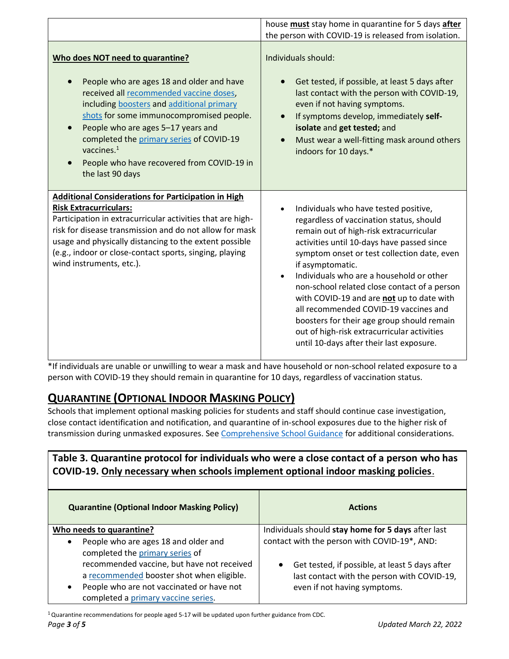|                                                                                                                                                                                                                                                                                                                                                                                        | house must stay home in quarantine for 5 days after<br>the person with COVID-19 is released from isolation.                                                                                                                                                                                                                                                                                                                                                                                                                                                              |
|----------------------------------------------------------------------------------------------------------------------------------------------------------------------------------------------------------------------------------------------------------------------------------------------------------------------------------------------------------------------------------------|--------------------------------------------------------------------------------------------------------------------------------------------------------------------------------------------------------------------------------------------------------------------------------------------------------------------------------------------------------------------------------------------------------------------------------------------------------------------------------------------------------------------------------------------------------------------------|
| Who does NOT need to quarantine?<br>People who are ages 18 and older and have<br>received all recommended vaccine doses,<br>including boosters and additional primary<br>shots for some immunocompromised people.<br>People who are ages 5-17 years and<br>completed the primary series of COVID-19<br>vaccines. $1$<br>People who have recovered from COVID-19 in<br>the last 90 days | Individuals should:<br>Get tested, if possible, at least 5 days after<br>last contact with the person with COVID-19,<br>even if not having symptoms.<br>If symptoms develop, immediately self-<br>isolate and get tested; and<br>Must wear a well-fitting mask around others<br>indoors for 10 days.*                                                                                                                                                                                                                                                                    |
| <b>Additional Considerations for Participation in High</b><br><b>Risk Extracurriculars:</b><br>Participation in extracurricular activities that are high-<br>risk for disease transmission and do not allow for mask<br>usage and physically distancing to the extent possible<br>(e.g., indoor or close-contact sports, singing, playing<br>wind instruments, etc.).                  | Individuals who have tested positive,<br>regardless of vaccination status, should<br>remain out of high-risk extracurricular<br>activities until 10-days have passed since<br>symptom onset or test collection date, even<br>if asymptomatic.<br>Individuals who are a household or other<br>non-school related close contact of a person<br>with COVID-19 and are not up to date with<br>all recommended COVID-19 vaccines and<br>boosters for their age group should remain<br>out of high-risk extracurricular activities<br>until 10-days after their last exposure. |

\*If individuals are unable or unwilling to wear a mask and have household or non-school related exposure to a person with COVID-19 they should remain in quarantine for 10 days, regardless of vaccination status.

## **QUARANTINE (OPTIONAL INDOOR MASKING POLICY)**

Schools that implement optional masking policies for students and staff should continue case investigation, close contact identification and notification, and quarantine of in-school exposures due to the higher risk of transmission during unmasked exposures. See [Comprehensive School Guidance](https://health.hawaii.gov/coronavirusdisease2019/files/2021/08/COVID-19-Guidance-for-Schools.pdf) for additional considerations.

## **Table 3. Quarantine protocol for individuals who were a close contact of a person who has COVID-19. Only necessary when schools implement optional indoor masking policies**.

| <b>Quarantine (Optional Indoor Masking Policy)</b>                                                                                 | <b>Actions</b>                                                                                              |
|------------------------------------------------------------------------------------------------------------------------------------|-------------------------------------------------------------------------------------------------------------|
| Who needs to quarantine?                                                                                                           | Individuals should stay home for 5 days after last                                                          |
| People who are ages 18 and older and<br>$\bullet$<br>completed the primary series of<br>recommended vaccine, but have not received | contact with the person with COVID-19*, AND:<br>Get tested, if possible, at least 5 days after<br>$\bullet$ |
| a recommended booster shot when eligible.                                                                                          | last contact with the person with COVID-19,                                                                 |
| People who are not vaccinated or have not<br>$\bullet$<br>completed a primary vaccine series.                                      | even if not having symptoms.                                                                                |

<sup>1</sup>Quarantine recommendations for people aged 5-17 will be updated upon further guidance from CDC.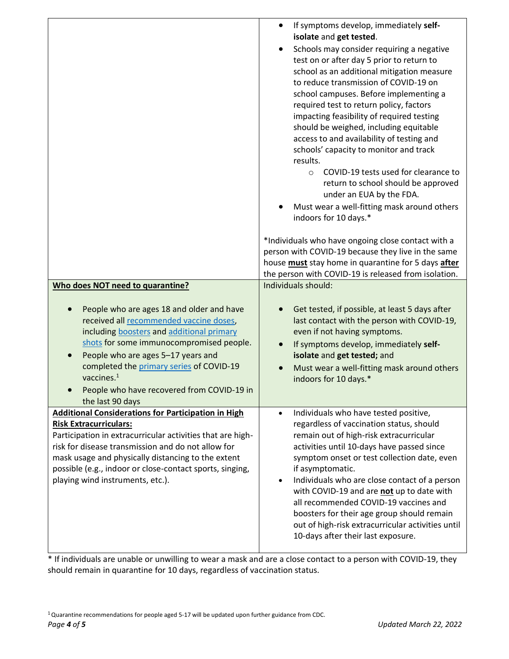|                                                                                                                                                                                                                                                                                                                                                                                        | If symptoms develop, immediately self-<br>$\bullet$<br>isolate and get tested.<br>Schools may consider requiring a negative<br>test on or after day 5 prior to return to<br>school as an additional mitigation measure<br>to reduce transmission of COVID-19 on<br>school campuses. Before implementing a<br>required test to return policy, factors<br>impacting feasibility of required testing<br>should be weighed, including equitable<br>access to and availability of testing and<br>schools' capacity to monitor and track<br>results.<br>COVID-19 tests used for clearance to<br>$\circ$<br>return to school should be approved<br>under an EUA by the FDA.<br>Must wear a well-fitting mask around others<br>indoors for 10 days.* |
|----------------------------------------------------------------------------------------------------------------------------------------------------------------------------------------------------------------------------------------------------------------------------------------------------------------------------------------------------------------------------------------|----------------------------------------------------------------------------------------------------------------------------------------------------------------------------------------------------------------------------------------------------------------------------------------------------------------------------------------------------------------------------------------------------------------------------------------------------------------------------------------------------------------------------------------------------------------------------------------------------------------------------------------------------------------------------------------------------------------------------------------------|
|                                                                                                                                                                                                                                                                                                                                                                                        | *Individuals who have ongoing close contact with a<br>person with COVID-19 because they live in the same<br>house must stay home in quarantine for 5 days after<br>the person with COVID-19 is released from isolation.                                                                                                                                                                                                                                                                                                                                                                                                                                                                                                                      |
| Who does NOT need to quarantine?<br>People who are ages 18 and older and have<br>received all recommended vaccine doses,<br>including boosters and additional primary<br>shots for some immunocompromised people.<br>People who are ages 5-17 years and<br>completed the primary series of COVID-19<br>vaccines. $1$<br>People who have recovered from COVID-19 in<br>the last 90 days | Individuals should:<br>Get tested, if possible, at least 5 days after<br>last contact with the person with COVID-19,<br>even if not having symptoms.<br>If symptoms develop, immediately self-<br>isolate and get tested; and<br>Must wear a well-fitting mask around others<br>indoors for 10 days.*                                                                                                                                                                                                                                                                                                                                                                                                                                        |
| Additional Considerations for Participation in High<br><b>Risk Extracurriculars:</b><br>Participation in extracurricular activities that are high-<br>risk for disease transmission and do not allow for<br>mask usage and physically distancing to the extent<br>possible (e.g., indoor or close-contact sports, singing,<br>playing wind instruments, etc.).                         | Individuals who have tested positive,<br>$\bullet$<br>regardless of vaccination status, should<br>remain out of high-risk extracurricular<br>activities until 10-days have passed since<br>symptom onset or test collection date, even<br>if asymptomatic.<br>Individuals who are close contact of a person<br>$\bullet$<br>with COVID-19 and are not up to date with<br>all recommended COVID-19 vaccines and<br>boosters for their age group should remain<br>out of high-risk extracurricular activities until                                                                                                                                                                                                                            |

\* If individuals are unable or unwilling to wear a mask and are a close contact to a person with COVID-19, they should remain in quarantine for 10 days, regardless of vaccination status.